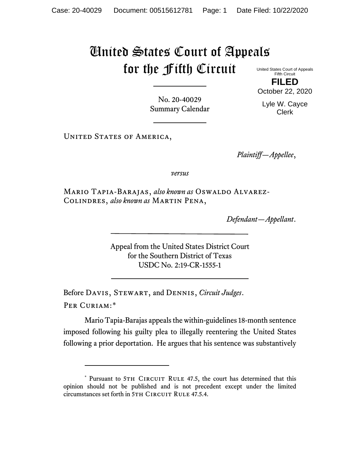## United States Court of Appeals for the Fifth Circuit

United States Court of Appeals Fifth Circuit **FILED**

October 22, 2020

Lyle W. Cayce Clerk

No. 20-40029 Summary Calendar

UNITED STATES OF AMERICA,

*Plaintiff—Appellee*,

*versus*

Mario Tapia-Barajas, *also known as* Oswaldo Alvarez-Colindres, *also known as* Martin Pena,

*Defendant—Appellant*.

Appeal from the United States District Court for the Southern District of Texas USDC No. 2:19-CR-1555-1

Before Davis, Stewart, and Dennis, *Circuit Judges*. Per Curiam:[\\*](#page-0-0)

Mario Tapia-Barajas appeals the within-guidelines 18-month sentence imposed following his guilty plea to illegally reentering the United States following a prior deportation. He argues that his sentence was substantively

<span id="page-0-0"></span><sup>\*</sup> Pursuant to 5TH CIRCUIT RULE 47.5, the court has determined that this opinion should not be published and is not precedent except under the limited circumstances set forth in 5TH CIRCUIT RULE 47.5.4.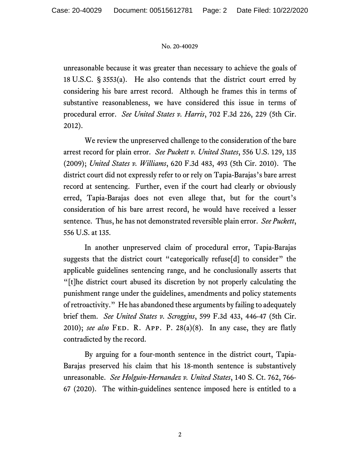## No. 20-40029

unreasonable because it was greater than necessary to achieve the goals of 18 U.S.C. § 3553(a). He also contends that the district court erred by considering his bare arrest record. Although he frames this in terms of substantive reasonableness, we have considered this issue in terms of procedural error. *See United States v. Harris*, 702 F.3d 226, 229 (5th Cir. 2012).

We review the unpreserved challenge to the consideration of the bare arrest record for plain error. *See Puckett v. United States*, 556 U.S. 129, 135 (2009); *United States v. Williams*, 620 F.3d 483, 493 (5th Cir. 2010). The district court did not expressly refer to or rely on Tapia-Barajas's bare arrest record at sentencing. Further, even if the court had clearly or obviously erred, Tapia-Barajas does not even allege that, but for the court's consideration of his bare arrest record, he would have received a lesser sentence. Thus, he has not demonstrated reversible plain error. *See Puckett*, 556 U.S. at 135.

In another unpreserved claim of procedural error, Tapia-Barajas suggests that the district court "categorically refuse[d] to consider" the applicable guidelines sentencing range, and he conclusionally asserts that "[t]he district court abused its discretion by not properly calculating the punishment range under the guidelines, amendments and policy statements of retroactivity." He has abandoned these arguments by failing to adequately brief them. *See United States v. Scroggins*, 599 F.3d 433, 446-47 (5th Cir. 2010); *see also* Fed. R. App. P. 28(a)(8). In any case, they are flatly contradicted by the record.

By arguing for a four-month sentence in the district court, Tapia-Barajas preserved his claim that his 18-month sentence is substantively unreasonable. *See Holguin-Hernandez v. United States*, 140 S. Ct. 762, 766- 67 (2020). The within-guidelines sentence imposed here is entitled to a